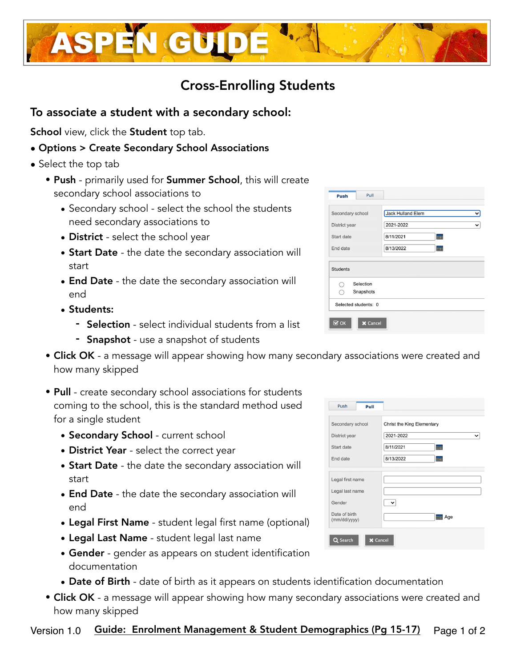

- Selection select individual students from a list
- **Snapshot** use a snapshot of students
- Click OK a message will appear showing how many secondary associations were created and how many skipped
- Pull create secondary school associations for students coming to the school, this is the standard method used for a single student
	- Secondary School current school
	- District Year select the correct year
	- Start Date the date the secondary association will start
	- End Date the date the secondary association will end
	- Legal First Name student legal first name (optional)
	- Legal Last Name student legal last name
	- Gender gender as appears on student identification documentation
	- Date of Birth date of birth as it appears on students identification documentation
- Click OK a message will appear showing how many secondary associations were created and how many skipped

# Cross-Enrolling Students

#### To associate a student with a secondary school:

School view, click the Student top tab.

• Options > Create Secondary School Associations

**ASPEN GUID** 

- Select the top tab
	- Push primarily used for Summer School, this will create secondary school associations to
		- Secondary school select the school the students need secondary associations to
		- District select the school year
		- Start Date the date the secondary association will start
		- End Date the date the secondary association will end
		- -
			-

Push Pull Christ the King Elementary Secondary school District year  $2021 - 2022$ ◡ 8/11/2021 Start date m.  $8/13/2022$ End date m Legal first name Legal last name  $\boxed{\mathbf{v}}$ Gender Date of birth  $\frac{1}{2}$  Age (mm/dd/yyyy) **X** Cancel Q Search